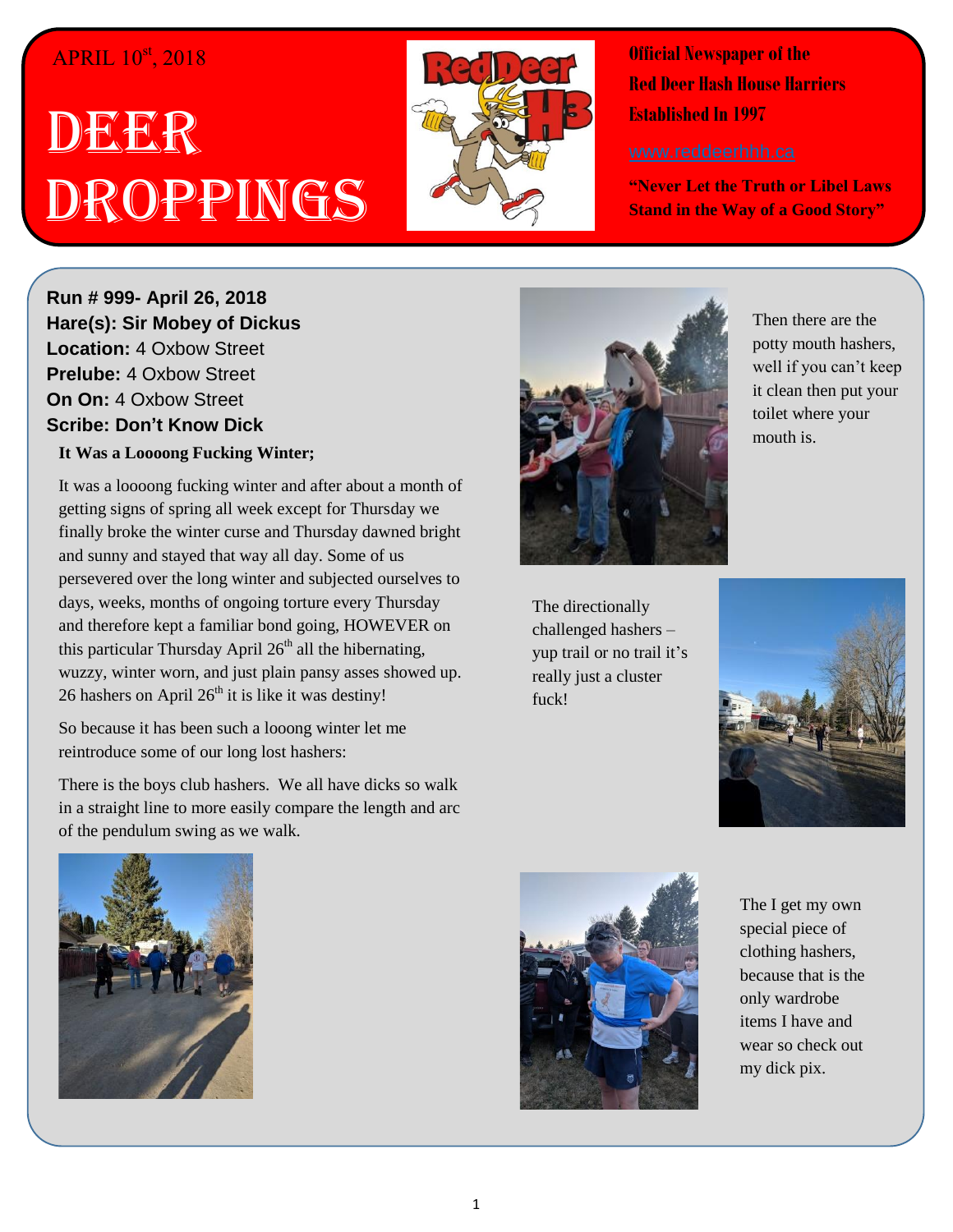## APRIL  $10^{st}$ , 2018

## DEER Droppings



**Official Newspaper of the Red Deer Hash House Harriers Established In 1997** 

**"Never Let the Truth or Libel Laws Stand in the Way of a Good Story"**

**Run # 999- April 26, 2018 Hare(s): Sir Mobey of Dickus Location:** 4 Oxbow Street **Prelube:** 4 Oxbow Street **On On:** 4 Oxbow Street **Scribe: Don't Know Dick**

**It Was a Loooong Fucking Winter;**

It was a loooong fucking winter and after about a month of getting signs of spring all week except for Thursday we finally broke the winter curse and Thursday dawned bright and sunny and stayed that way all day. Some of us persevered over the long winter and subjected ourselves to days, weeks, months of ongoing torture every Thursday and therefore kept a familiar bond going, HOWEVER on this particular Thursday April  $26<sup>th</sup>$  all the hibernating, wuzzy, winter worn, and just plain pansy asses showed up. 26 hashers on April  $26<sup>th</sup>$  it is like it was destiny!

So because it has been such a looong winter let me reintroduce some of our long lost hashers:

There is the boys club hashers. We all have dicks so walk in a straight line to more easily compare the length and arc of the pendulum swing as we walk.



Then there are the potty mouth hashers, well if you can't keep it clean then put your toilet where your mouth is.

The directionally challenged hashers – yup trail or no trail it's really just a cluster fuck!







The I get my own special piece of clothing hashers, because that is the only wardrobe items I have and wear so check out my dick pix.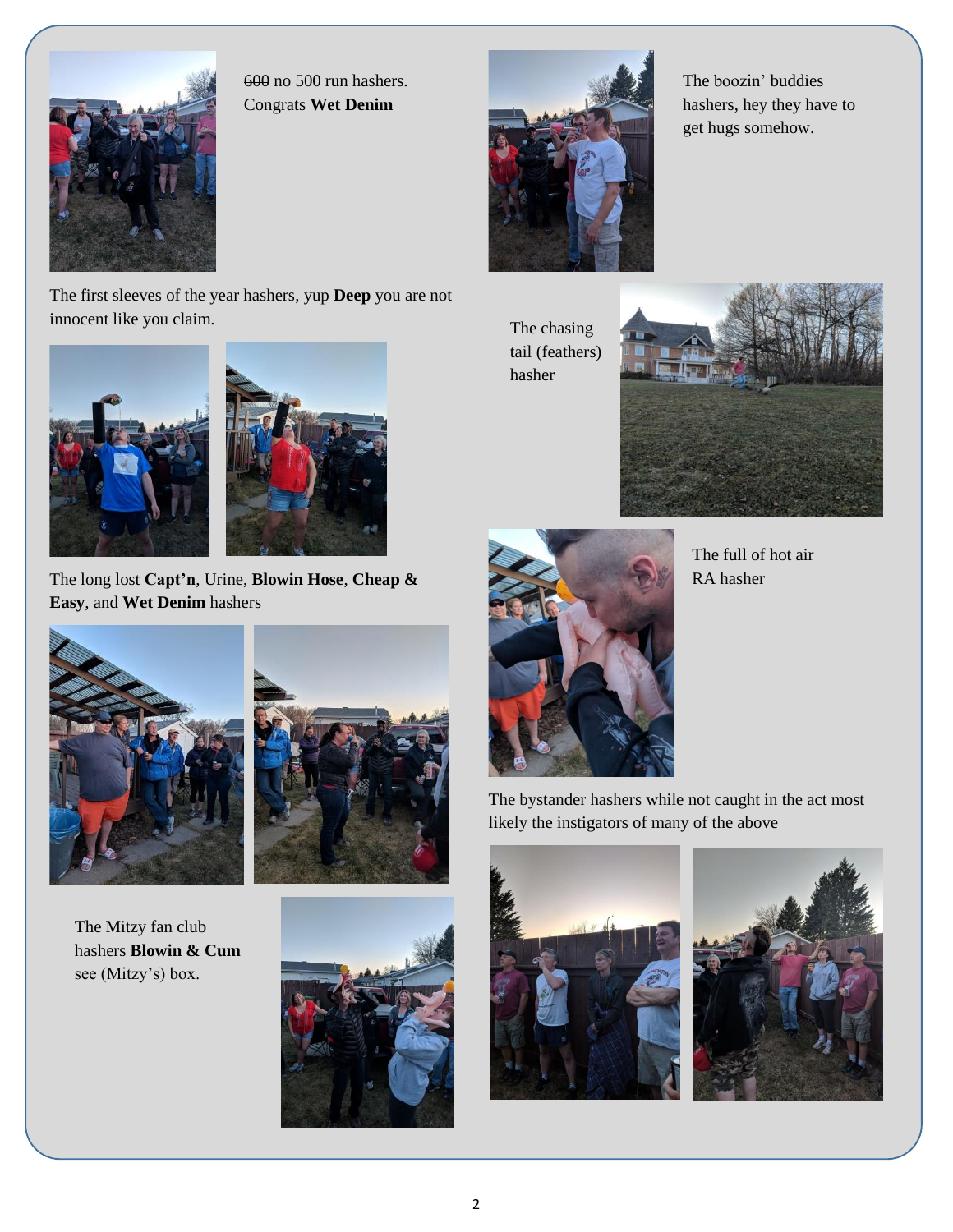

innocent like you claim.

600 no 500 run hashers. Congrats **Wet Denim**



The boozin' buddies hashers, hey they have to get hugs somehow.

The chasing tail (feathers) hasher





The full of hot air RA hasher

The long lost **Capt'n**, Urine, **Blowin Hose**, **Cheap & Easy**, and **Wet Denim** hashers





The Mitzy fan club hashers **Blowin & Cum** see (Mitzy's) box.



The bystander hashers while not caught in the act most likely the instigators of many of the above